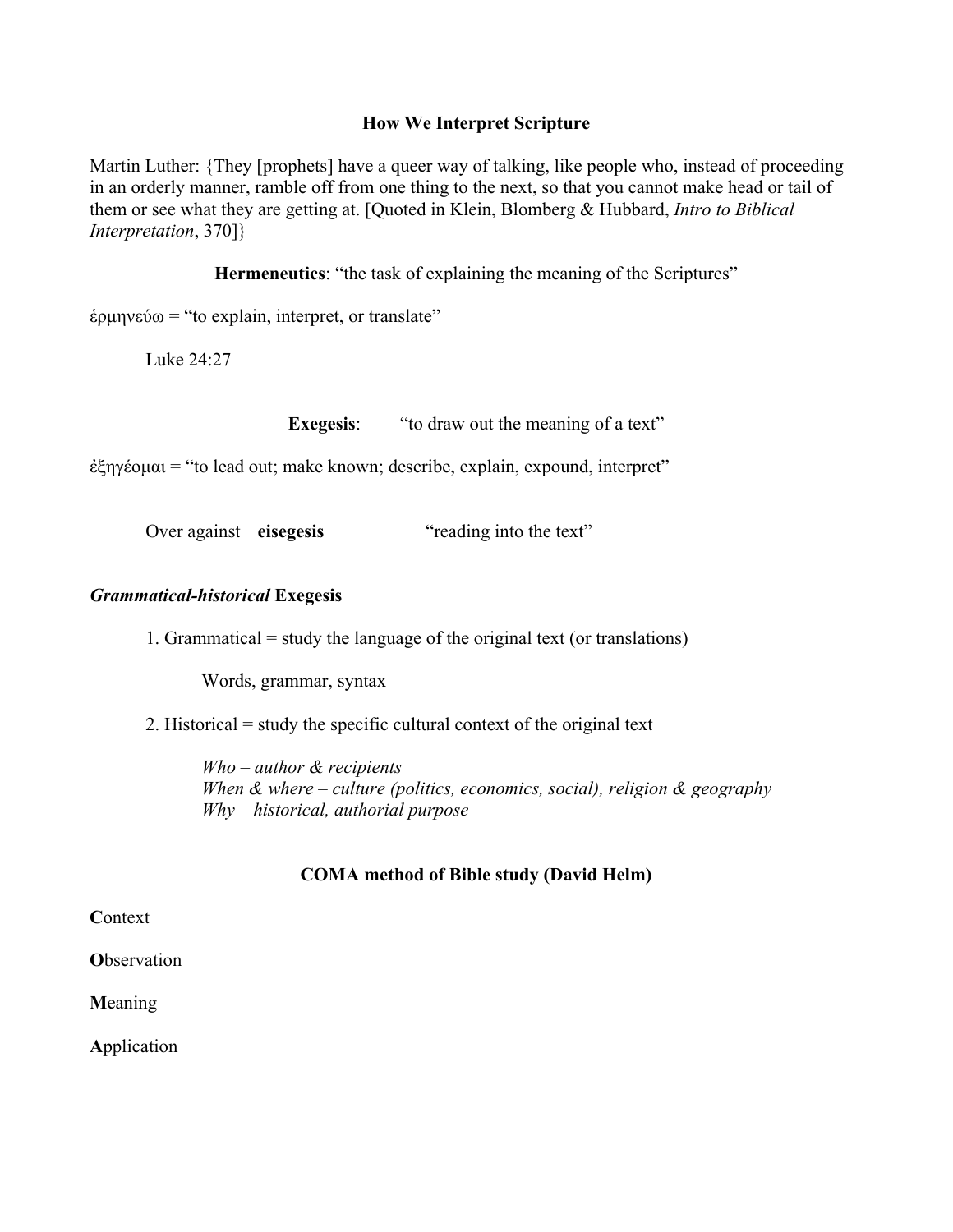# **How We Interpret Scripture**

Martin Luther: {They [prophets] have a queer way of talking, like people who, instead of proceeding in an orderly manner, ramble off from one thing to the next, so that you cannot make head or tail of them or see what they are getting at. [Quoted in Klein, Blomberg & Hubbard, *Intro to Biblical Interpretation*, 370]}

**Hermeneutics**: "the task of explaining the meaning of the Scriptures"

ἑρµηνεύω = "to explain, interpret, or translate"

Luke 24:27

**Exegesis:** "to draw out the meaning of a text"

ἐξηγέοµαι = "to lead out; make known; describe, explain, expound, interpret"

Over against **eisegesis** "reading into the text"

# *Grammatical-historical* **Exegesis**

1. Grammatical = study the language of the original text (or translations)

Words, grammar, syntax

2. Historical = study the specific cultural context of the original text

*Who – author & recipients When & where – culture (politics, economics, social), religion & geography Why – historical, authorial purpose*

# **COMA method of Bible study (David Helm)**

**C**ontext

**O**bservation

**M**eaning

**A**pplication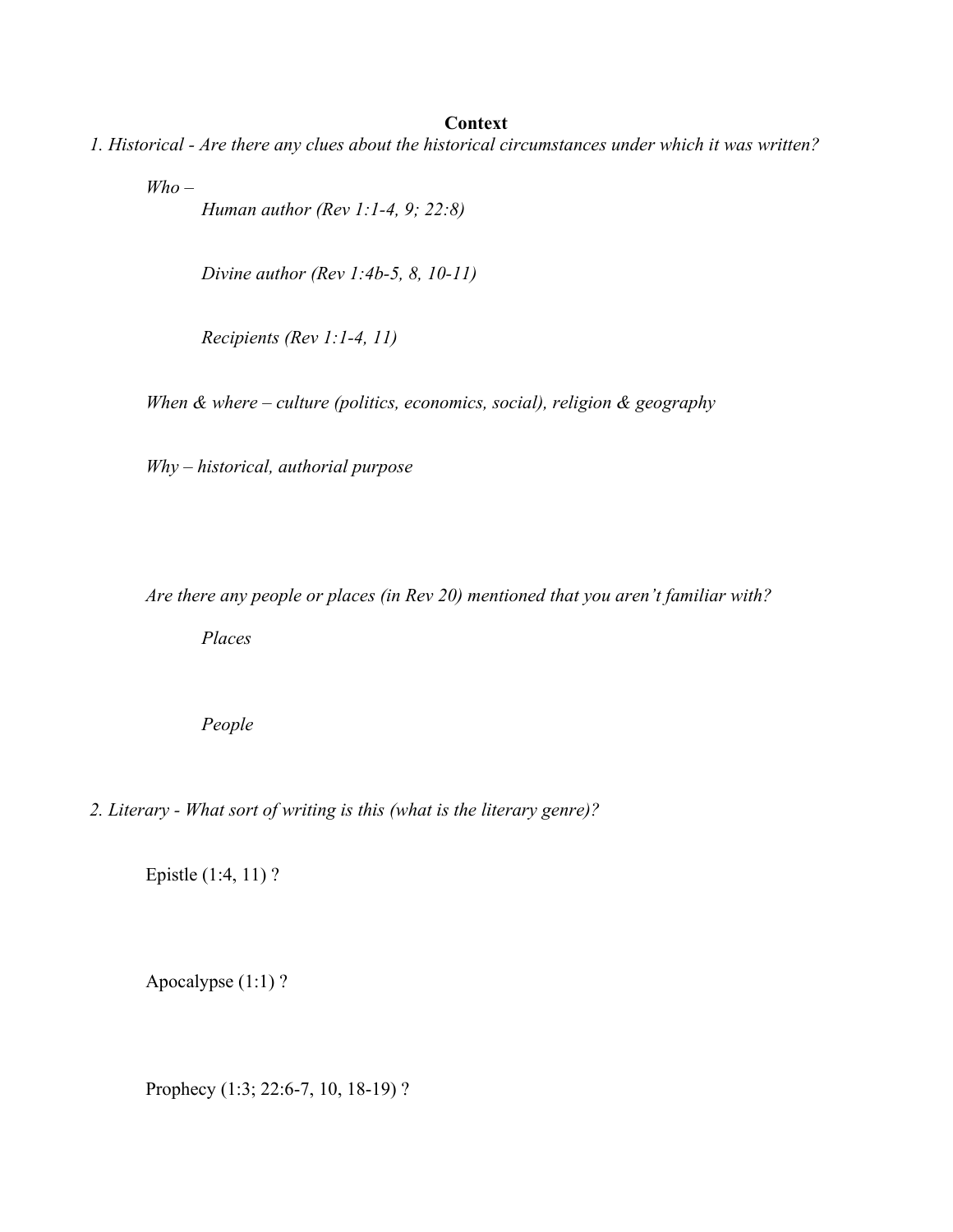#### **Context**

*1. Historical - Are there any clues about the historical circumstances under which it was written?*

*Who –*

*Human author (Rev 1:1-4, 9; 22:8)*

*Divine author (Rev 1:4b-5, 8, 10-11)*

*Recipients (Rev 1:1-4, 11)*

*When & where – culture (politics, economics, social), religion & geography*

*Why – historical, authorial purpose*

*Are there any people or places (in Rev 20) mentioned that you aren't familiar with?*

*Places*

*People*

*2. Literary - What sort of writing is this (what is the literary genre)?*

Epistle (1:4, 11) ?

Apocalypse (1:1) ?

Prophecy (1:3; 22:6-7, 10, 18-19) ?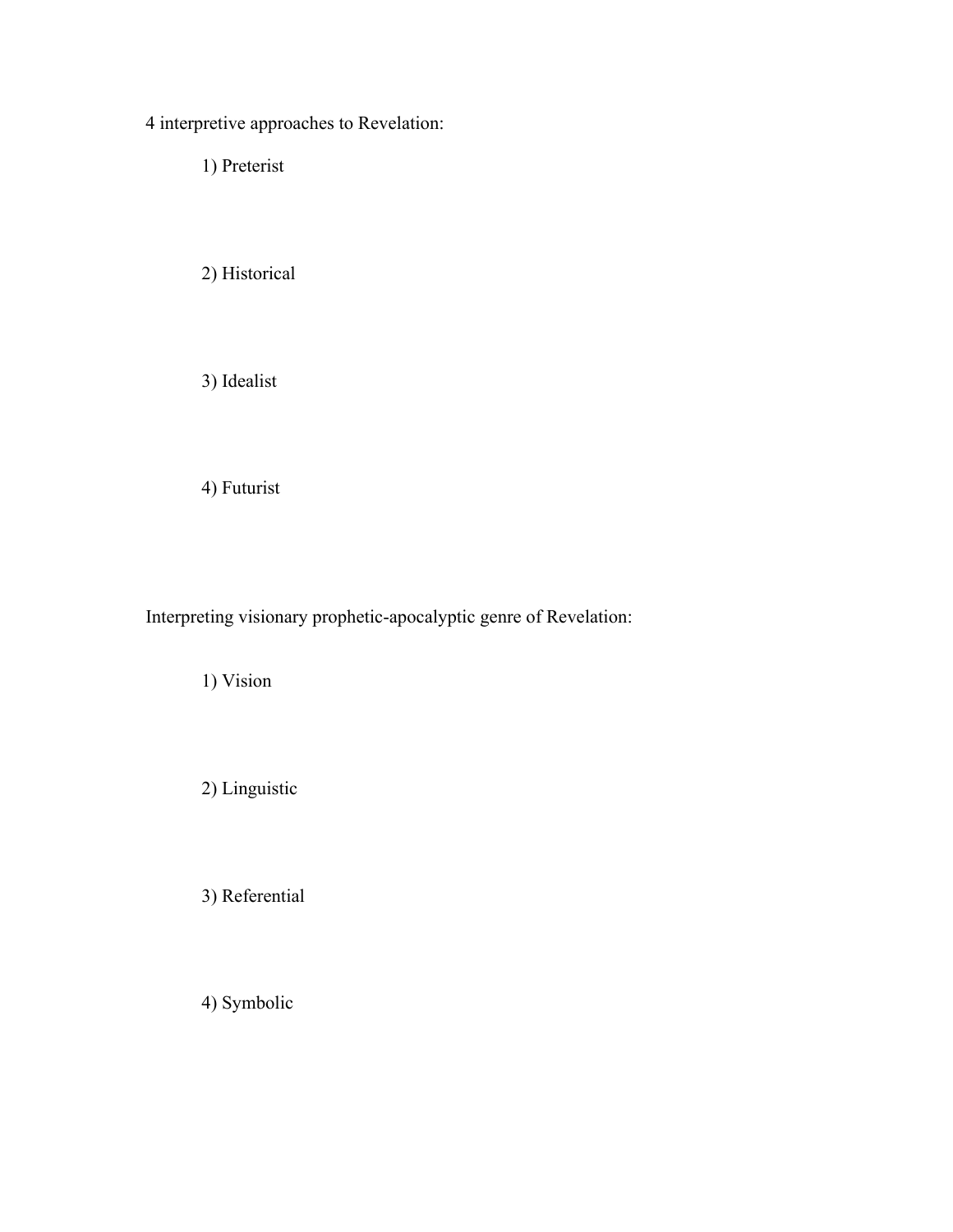4 interpretive approaches to Revelation:

1) Preterist

2) Historical

3) Idealist

4) Futurist

Interpreting visionary prophetic-apocalyptic genre of Revelation:

1) Vision

2) Linguistic

3) Referential

4) Symbolic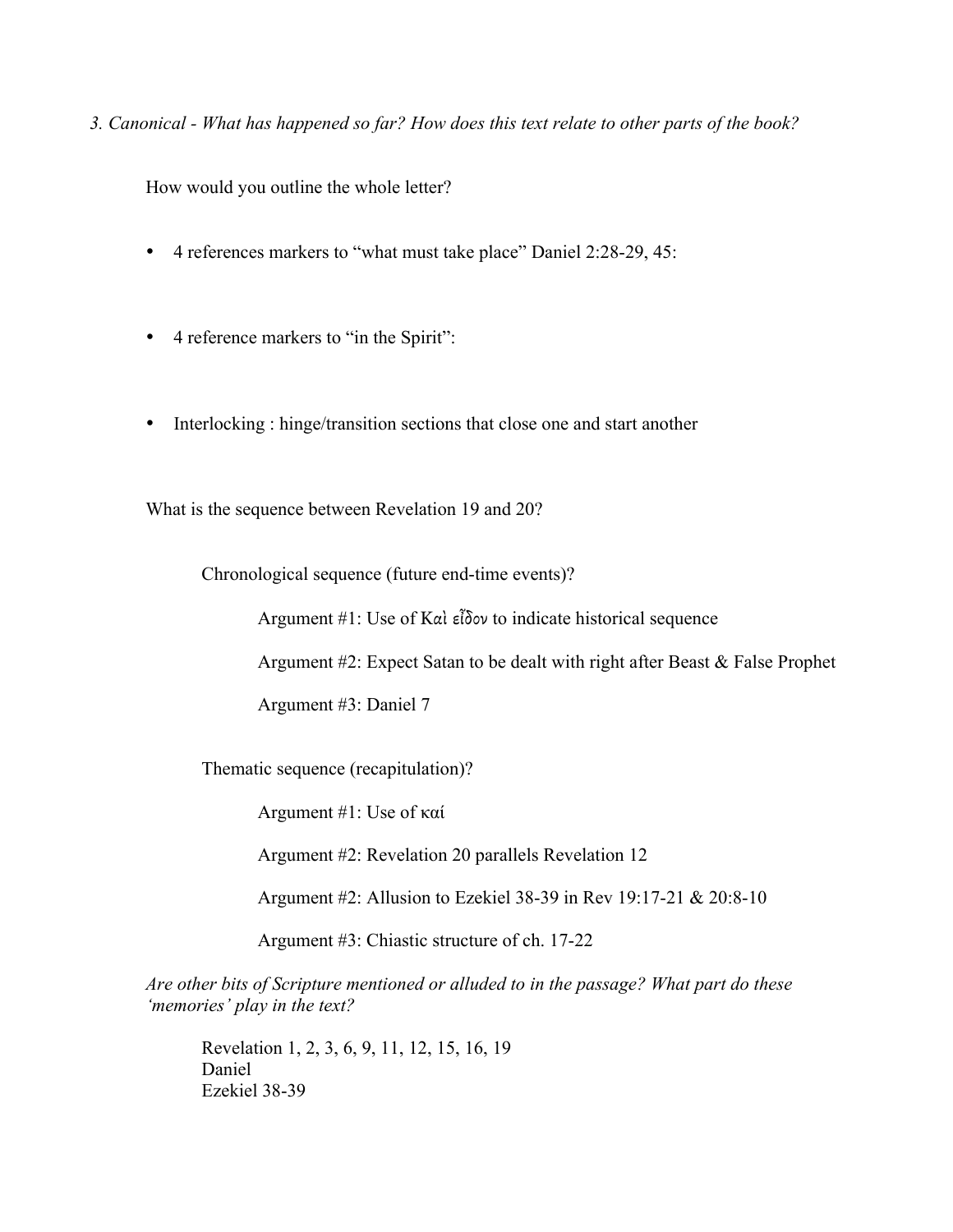*3. Canonical - What has happened so far? How does this text relate to other parts of the book?*

How would you outline the whole letter?

- 4 references markers to "what must take place" Daniel 2:28-29, 45:
- 4 reference markers to "in the Spirit":
- Interlocking : hinge/transition sections that close one and start another

What is the sequence between Revelation 19 and 20?

Chronological sequence (future end-time events)?

Argument #1: Use of Καὶ εἶδον to indicate historical sequence

Argument #2: Expect Satan to be dealt with right after Beast & False Prophet

Argument #3: Daniel 7

Thematic sequence (recapitulation)?

Argument #1: Use of καί

Argument #2: Revelation 20 parallels Revelation 12

Argument #2: Allusion to Ezekiel 38-39 in Rev 19:17-21 & 20:8-10

Argument #3: Chiastic structure of ch. 17-22

*Are other bits of Scripture mentioned or alluded to in the passage? What part do these 'memories' play in the text?*

Revelation 1, 2, 3, 6, 9, 11, 12, 15, 16, 19 Daniel Ezekiel 38-39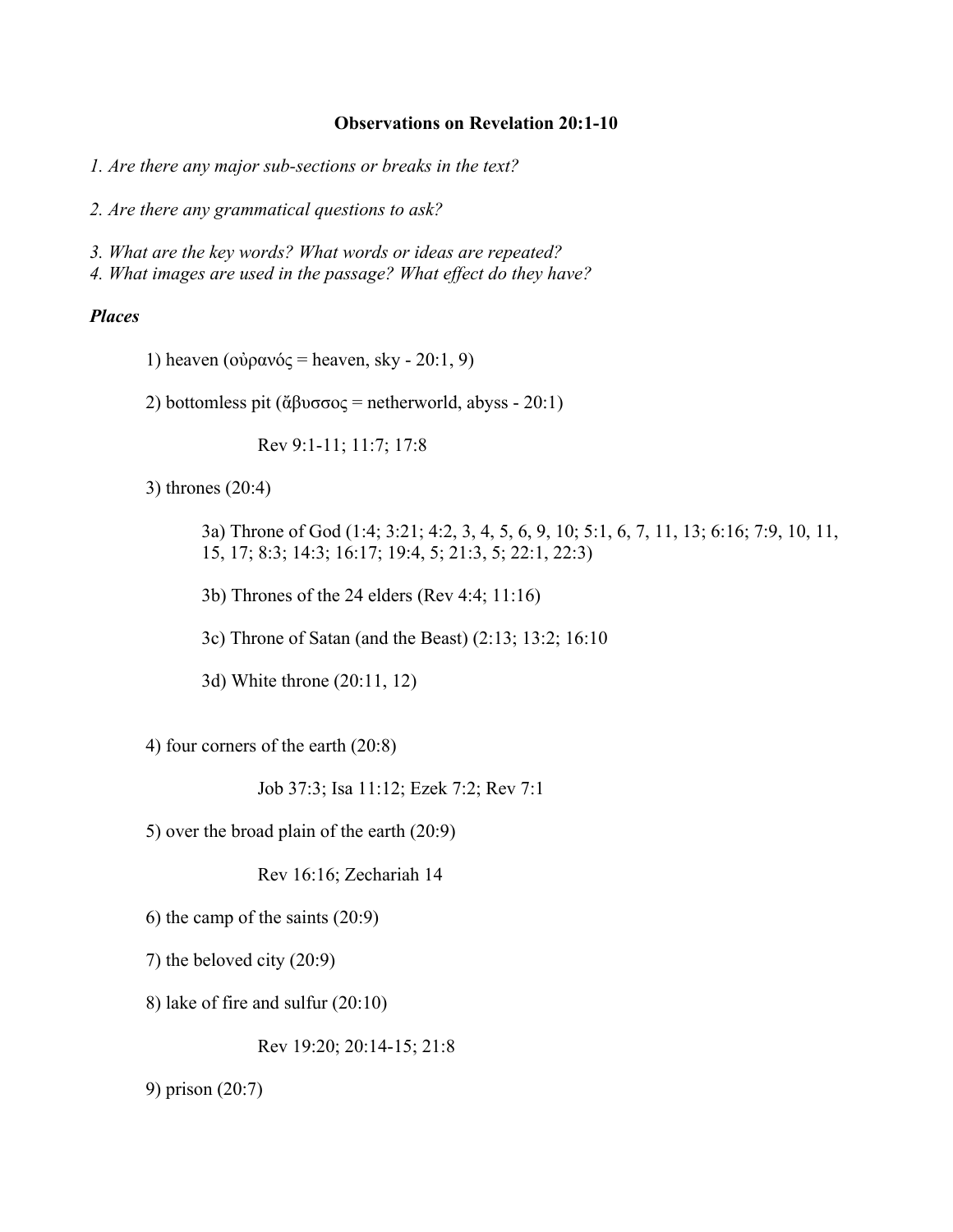#### **Observations on Revelation 20:1-10**

*1. Are there any major sub-sections or breaks in the text?*

*2. Are there any grammatical questions to ask?*

*3. What are the key words? What words or ideas are repeated?*

*4. What images are used in the passage? What effect do they have?*

#### *Places*

1) heaven (οὐρανός = heaven, sky - 20:1, 9)

2) bottomless pit (ἄβυσσος = netherworld, abyss - 20:1)

Rev 9:1-11; 11:7; 17:8

3) thrones (20:4)

3a) Throne of God (1:4; 3:21; 4:2, 3, 4, 5, 6, 9, 10; 5:1, 6, 7, 11, 13; 6:16; 7:9, 10, 11, 15, 17; 8:3; 14:3; 16:17; 19:4, 5; 21:3, 5; 22:1, 22:3)

3b) Thrones of the 24 elders (Rev 4:4; 11:16)

3c) Throne of Satan (and the Beast) (2:13; 13:2; 16:10

3d) White throne (20:11, 12)

4) four corners of the earth (20:8)

Job 37:3; Isa 11:12; Ezek 7:2; Rev 7:1

5) over the broad plain of the earth (20:9)

Rev 16:16; Zechariah 14

6) the camp of the saints (20:9)

7) the beloved city (20:9)

8) lake of fire and sulfur (20:10)

Rev 19:20; 20:14-15; 21:8

9) prison (20:7)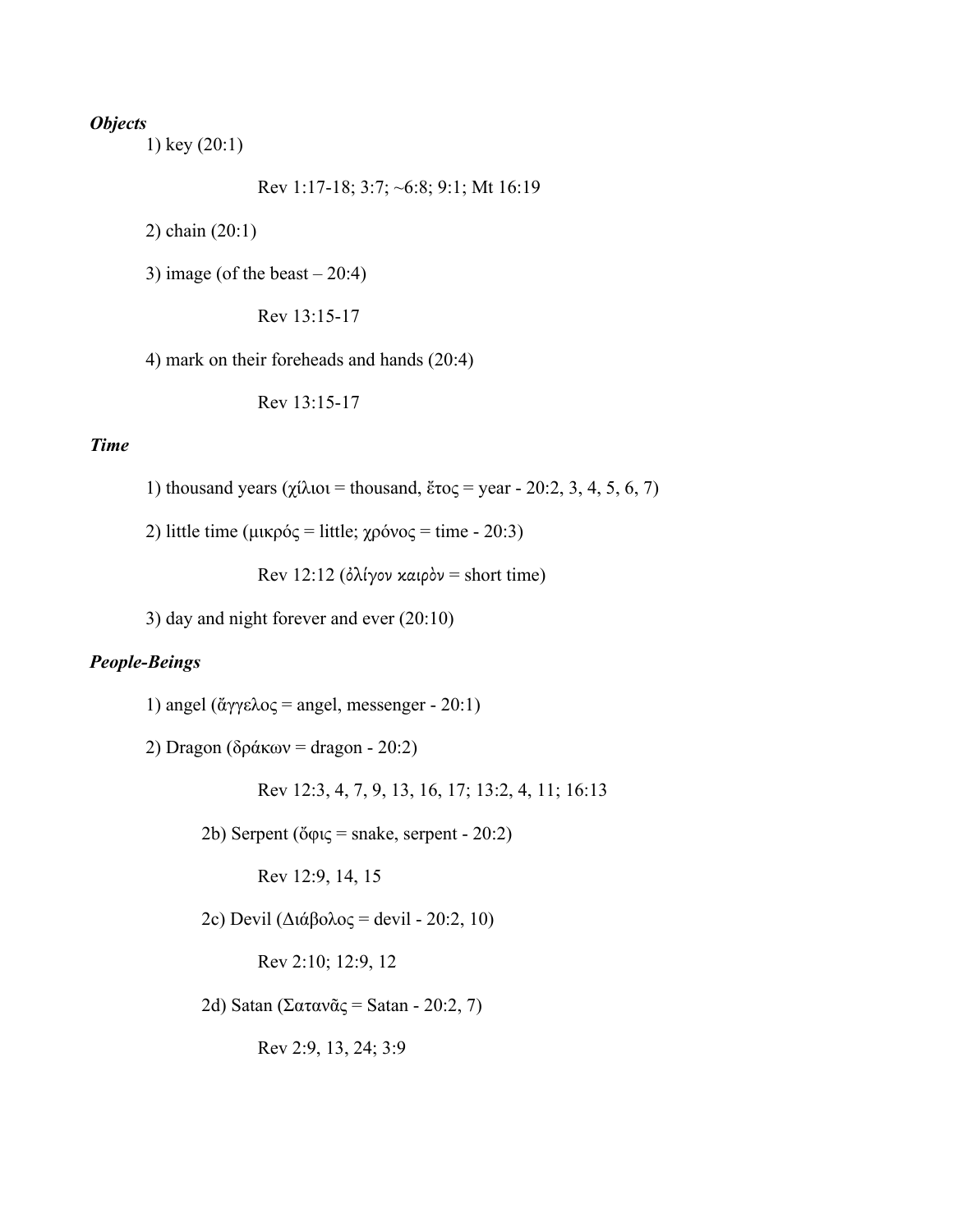# *Objects*

1) key (20:1)

Rev 1:17-18; 3:7; ~6:8; 9:1; Mt 16:19

2) chain (20:1)

3) image (of the beast  $-20:4$ )

Rev 13:15-17

4) mark on their foreheads and hands (20:4)

Rev 13:15-17

# *Time*

- 1) thousand years (χίλιοι = thousand, ἕτος = year 20:2, 3, 4, 5, 6, 7)
- 2) little time (μικρός = little; χρόνος = time 20:3)

Rev 12:12 (ὀλίγον καιρὸν = short time)

3) day and night forever and ever (20:10)

### *People-Beings*

1) angel (ἄγγελος = angel, messenger - 20:1)

2) Dragon (δράκων = dragon - 20:2)

Rev 12:3, 4, 7, 9, 13, 16, 17; 13:2, 4, 11; 16:13

2b) Serpent (ὄφις = snake, serpent - 20:2)

Rev 12:9, 14, 15

2c) Devil (Διάβολος = devil - 20:2, 10)

Rev 2:10; 12:9, 12

2d) Satan (Σατανᾶς = Satan - 20:2, 7)

Rev 2:9, 13, 24; 3:9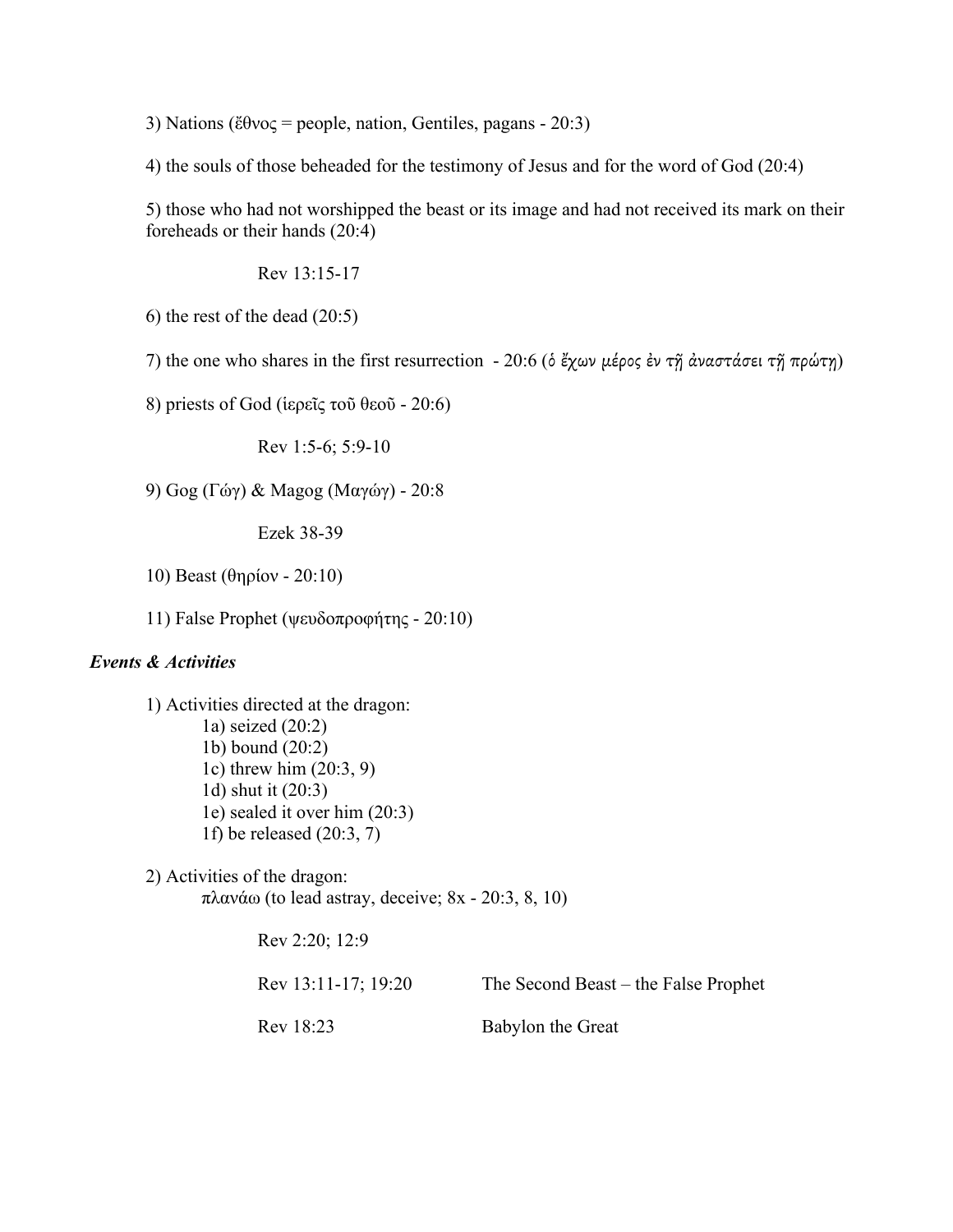3) Nations (ἔθνος = people, nation, Gentiles, pagans - 20:3)

4) the souls of those beheaded for the testimony of Jesus and for the word of God (20:4)

5) those who had not worshipped the beast or its image and had not received its mark on their foreheads or their hands (20:4)

Rev 13:15-17

6) the rest of the dead (20:5)

7) the one who shares in the first resurrection - 20:6 (δ ἔχων μέρος ἐν τῆ ἀναστάσει τῆ πρώτῃ)

8) priests of God (ἱερεῖς τοῦ θεοῦ - 20:6)

Rev 1:5-6; 5:9-10

9) Gog (Γώγ) & Magog (Μαγώγ) - 20:8

Ezek 38-39

10) Beast (θηρίον - 20:10)

11) False Prophet (ψευδοπροφήτης - 20:10)

### *Events & Activities*

1) Activities directed at the dragon: 1a) seized (20:2) 1b) bound (20:2) 1c) threw him (20:3, 9) 1d) shut it (20:3) 1e) sealed it over him (20:3) 1f) be released (20:3, 7)

2) Activities of the dragon: πλανάω (to lead astray, deceive; 8x - 20:3, 8, 10)

> Rev 2:20; 12:9 Rev 13:11-17; 19:20 The Second Beast – the False Prophet Rev 18:23 Babylon the Great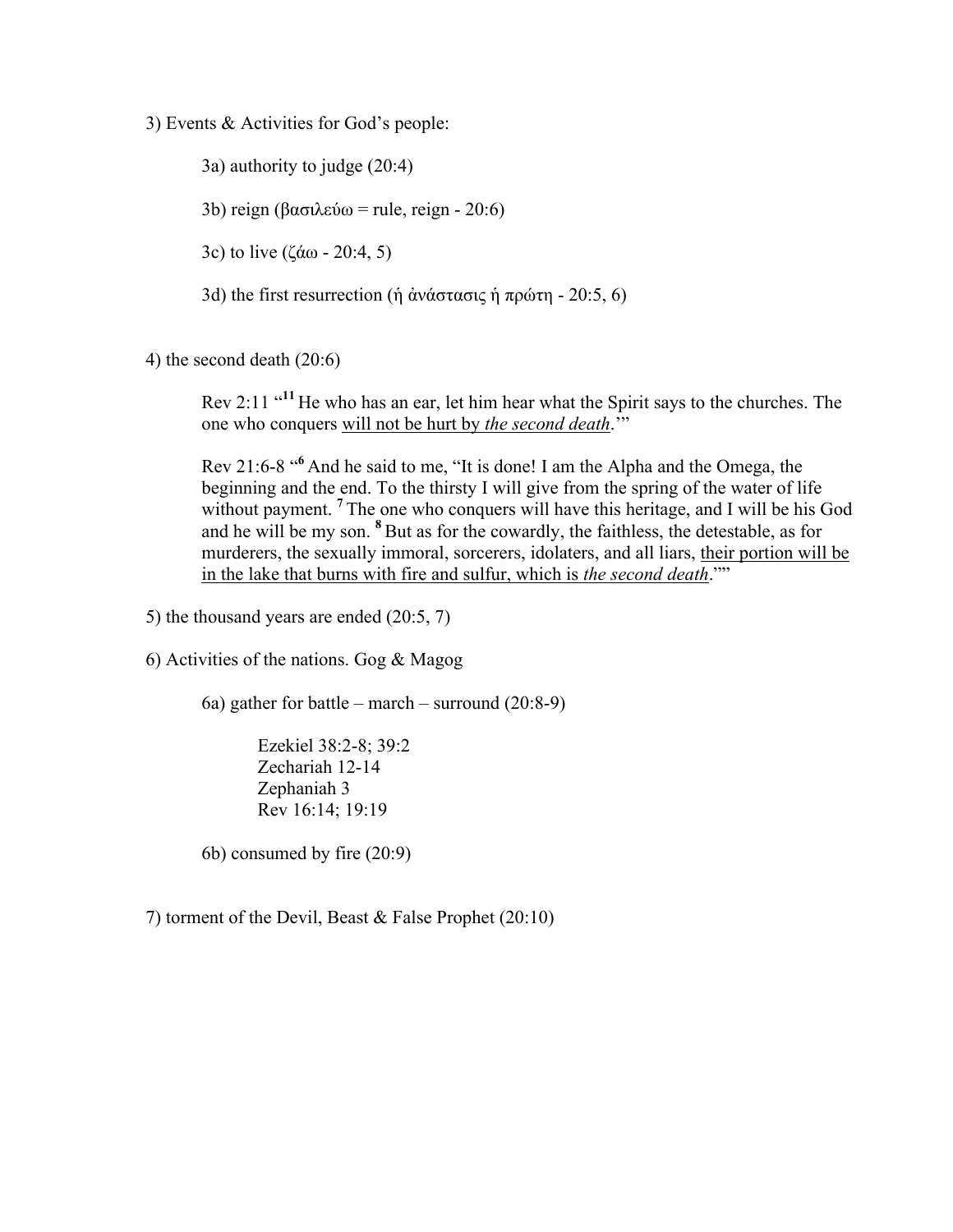3) Events & Activities for God's people:

3a) authority to judge (20:4)

3b) reign (βασιλεύω = rule, reign - 20:6)

3c) to live (ζάω - 20:4, 5)

3d) the first resurrection (ἡ ἀνάστασις ἡ πρώτη - 20:5, 6)

4) the second death (20:6)

Rev 2:11 "<sup>11</sup> He who has an ear, let him hear what the Spirit says to the churches. The one who conquers will not be hurt by *the second death*.'"

Rev 21:6-8 "**<sup>6</sup>** And he said to me, "It is done! I am the Alpha and the Omega, the beginning and the end. To the thirsty I will give from the spring of the water of life without payment. <sup>7</sup> The one who conquers will have this heritage, and I will be his God and he will be my son. **<sup>8</sup>** But as for the cowardly, the faithless, the detestable, as for murderers, the sexually immoral, sorcerers, idolaters, and all liars, their portion will be in the lake that burns with fire and sulfur, which is *the second death*.""

5) the thousand years are ended (20:5, 7)

6) Activities of the nations. Gog & Magog

6a) gather for battle – march – surround (20:8-9)

Ezekiel 38:2-8; 39:2 Zechariah 12-14 Zephaniah 3 Rev 16:14; 19:19

6b) consumed by fire (20:9)

7) torment of the Devil, Beast & False Prophet (20:10)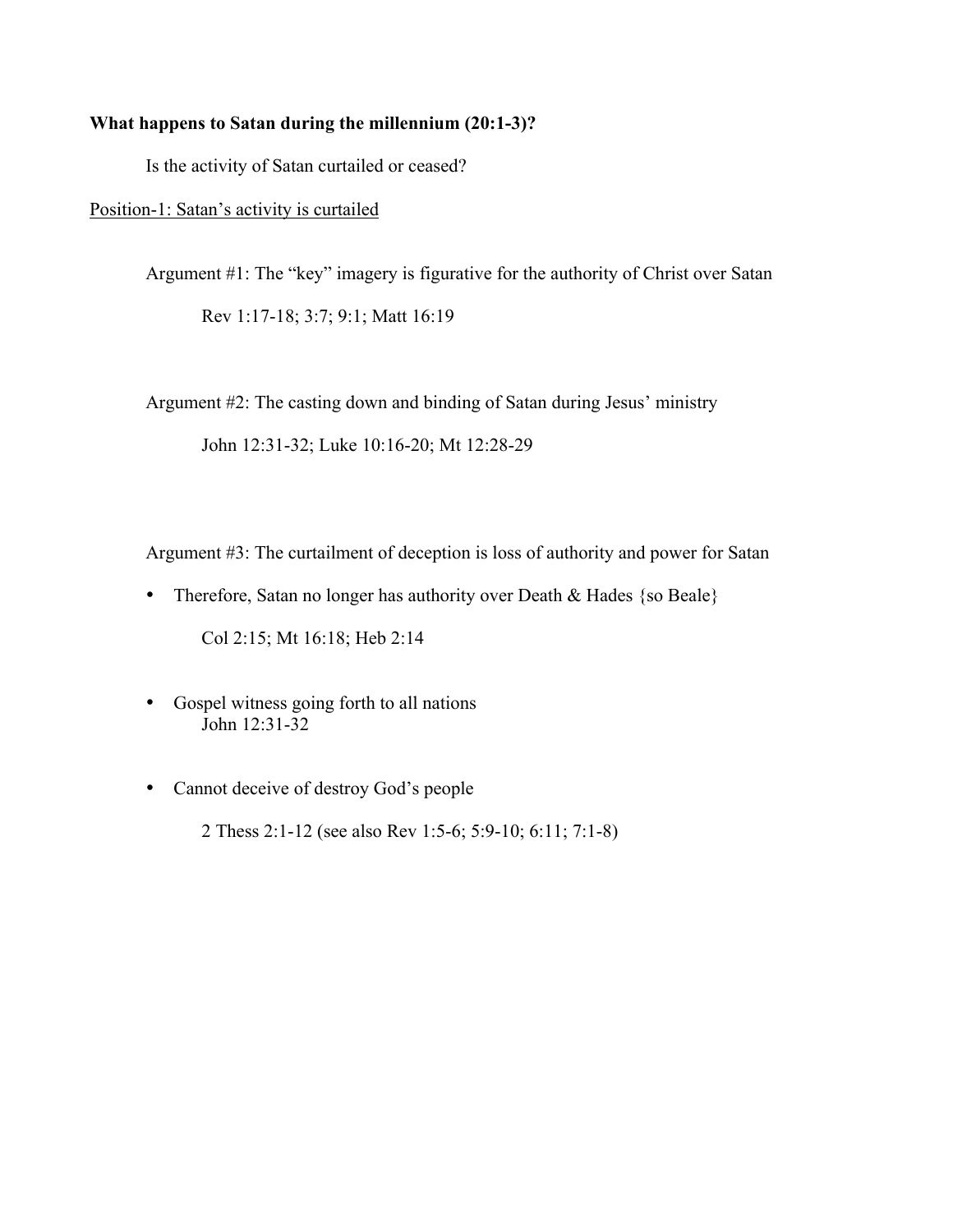#### **What happens to Satan during the millennium (20:1-3)?**

Is the activity of Satan curtailed or ceased?

Position-1: Satan's activity is curtailed

Argument #1: The "key" imagery is figurative for the authority of Christ over Satan Rev 1:17-18; 3:7; 9:1; Matt 16:19

Argument #2: The casting down and binding of Satan during Jesus' ministry

John 12:31-32; Luke 10:16-20; Mt 12:28-29

Argument #3: The curtailment of deception is loss of authority and power for Satan

- Therefore, Satan no longer has authority over Death & Hades {so Beale} Col 2:15; Mt 16:18; Heb 2:14
- Gospel witness going forth to all nations John 12:31-32
- Cannot deceive of destroy God's people 2 Thess 2:1-12 (see also Rev 1:5-6; 5:9-10; 6:11; 7:1-8)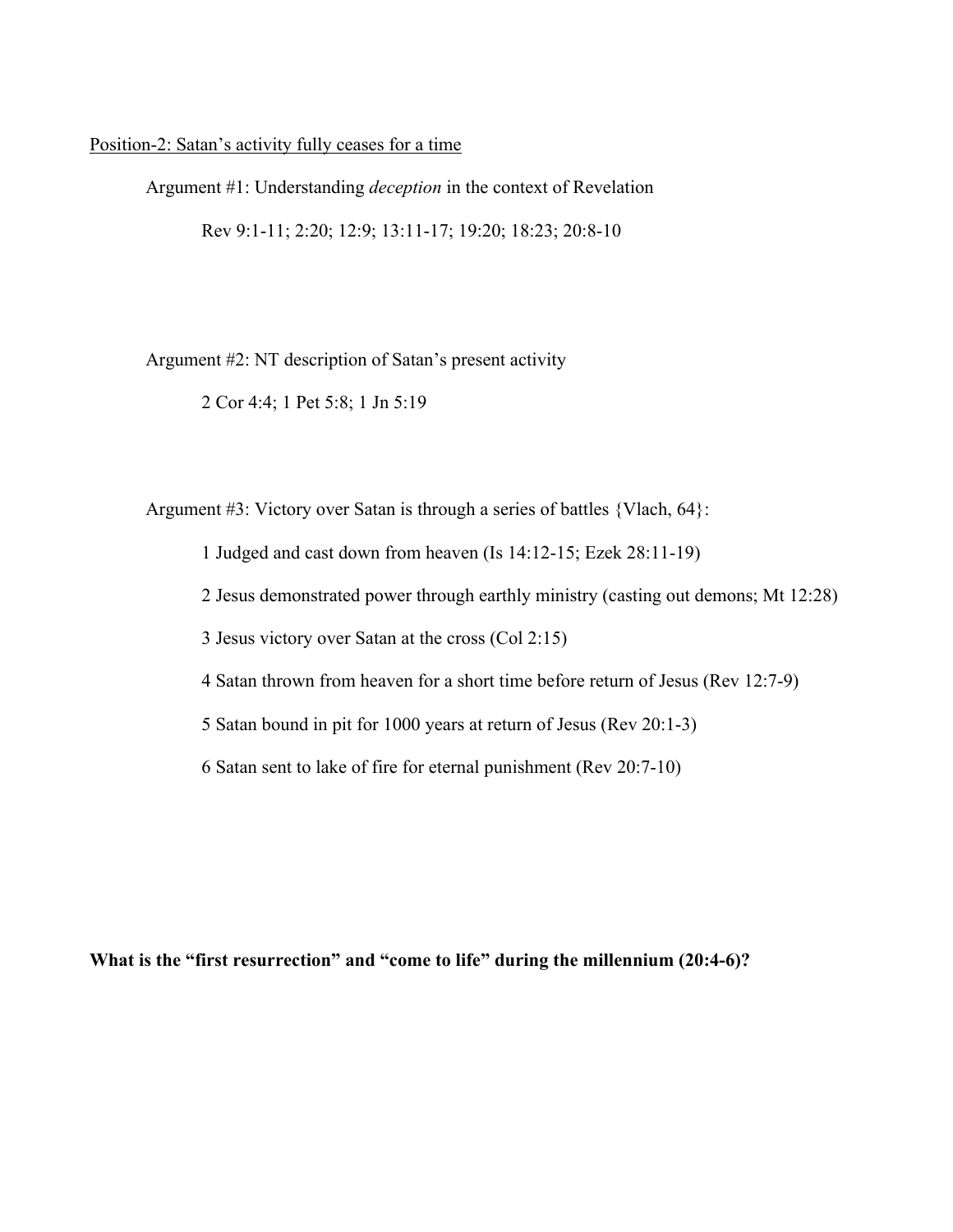Position-2: Satan's activity fully ceases for a time

Argument #1: Understanding *deception* in the context of Revelation Rev 9:1-11; 2:20; 12:9; 13:11-17; 19:20; 18:23; 20:8-10

Argument #2: NT description of Satan's present activity

2 Cor 4:4; 1 Pet 5:8; 1 Jn 5:19

Argument #3: Victory over Satan is through a series of battles {Vlach, 64}:

1 Judged and cast down from heaven (Is 14:12-15; Ezek 28:11-19)

2 Jesus demonstrated power through earthly ministry (casting out demons; Mt 12:28)

3 Jesus victory over Satan at the cross (Col 2:15)

4 Satan thrown from heaven for a short time before return of Jesus (Rev 12:7-9)

5 Satan bound in pit for 1000 years at return of Jesus (Rev 20:1-3)

6 Satan sent to lake of fire for eternal punishment (Rev 20:7-10)

**What is the "first resurrection" and "come to life" during the millennium (20:4-6)?**